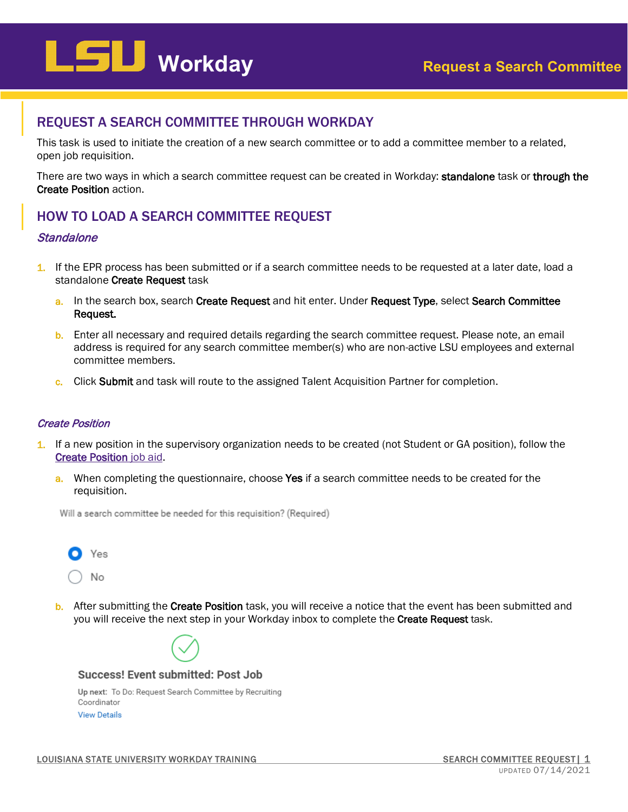# **Workday Request a Search Committee**

### REQUEST A SEARCH COMMITTEE THROUGH WORKDAY

This task is used to initiate the creation of a new search committee or to add a committee member to a related, open job requisition.

There are two ways in which a search committee request can be created in Workday: standalone task or through the Create Position action.

## HOW TO LOAD A SEARCH COMMITTEE REQUEST

#### Standalone

- 1. If the EPR process has been submitted or if a search committee needs to be requested at a later date, load a standalone Create Request task
	- a. In the search box, search Create Request and hit enter. Under Request Type, select Search Committee Request.
	- b. Enter all necessary and required details regarding the search committee request. Please note, an email address is required for any search committee member(s) who are non-active LSU employees and external committee members.
	- c. Click Submit and task will route to the assigned Talent Acquisition Partner for completion.

#### Create Position

- 1. If a new position in the supervisory organization needs to be created (not Student or GA position), follow the [Create Position](https://uiswcmsweb.prod.lsu.edu/training/specialist/create_position_HR_analyst.pdf) job aid.
	- a. When completing the questionnaire, choose Yes if a search committee needs to be created for the requisition.

Will a search committee be needed for this requisition? (Required)



b. After submitting the Create Position task, you will receive a notice that the event has been submitted and you will receive the next step in your Workday inbox to complete the Create Request task.

 $\overline{a}$ 



Success! Event submitted: Post Job

Up next: To Do: Request Search Committee by Recruiting Coordinator **View Details**